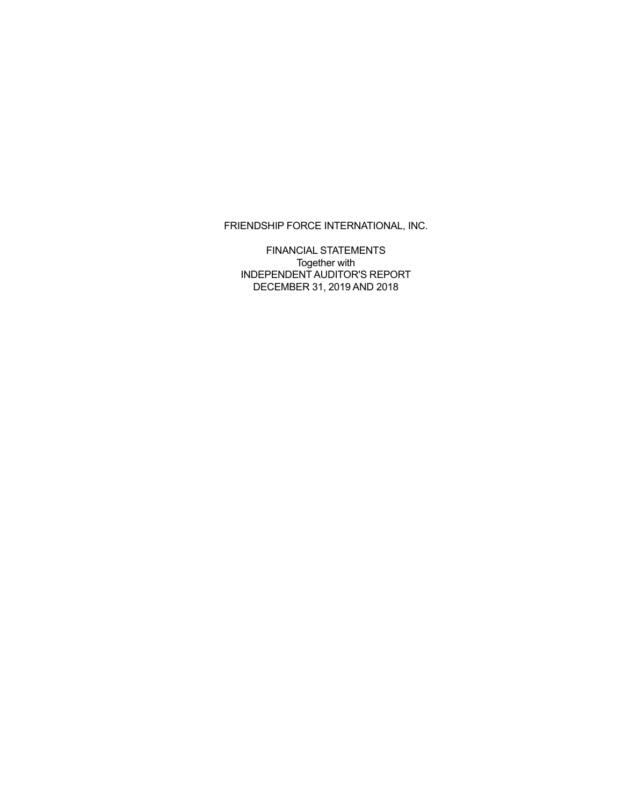FINANCIAL STATEMENTS Together with INDEPENDENT AUDITOR'S REPORT DECEMBER 31, 2019 AND 2018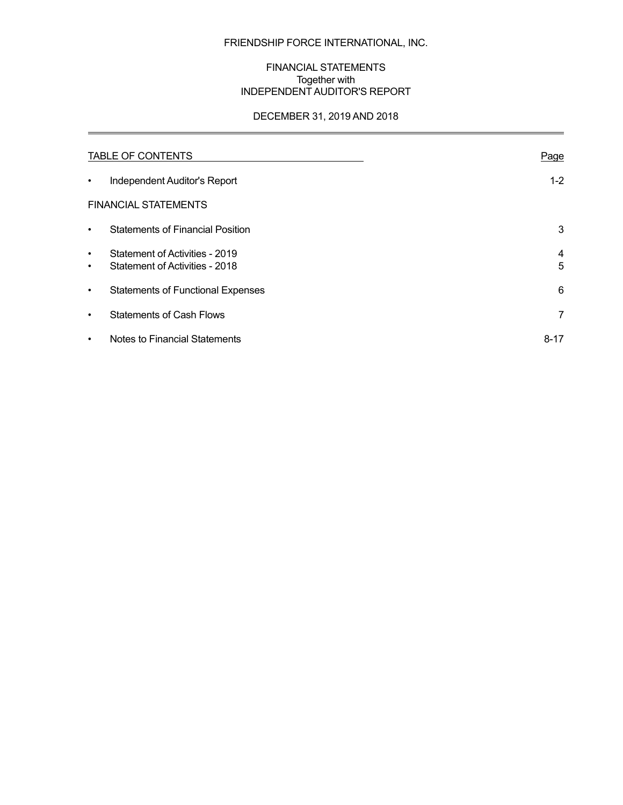## FINANCIAL STATEMENTS Together with INDEPENDENT AUDITOR'S REPORT

## DECEMBER 31, 2019 AND 2018

 $\overline{a}$ 

|                        | <b>TABLE OF CONTENTS</b>                                         | Page           |
|------------------------|------------------------------------------------------------------|----------------|
| $\bullet$              | Independent Auditor's Report                                     | $1 - 2$        |
|                        | <b>FINANCIAL STATEMENTS</b>                                      |                |
| $\bullet$              | <b>Statements of Financial Position</b>                          | 3              |
| $\bullet$<br>$\bullet$ | Statement of Activities - 2019<br>Statement of Activities - 2018 | 4<br>5         |
| ٠                      | <b>Statements of Functional Expenses</b>                         | 6              |
| $\bullet$              | <b>Statements of Cash Flows</b>                                  | $\overline{7}$ |
| $\bullet$              | Notes to Financial Statements                                    | $8 - 17$       |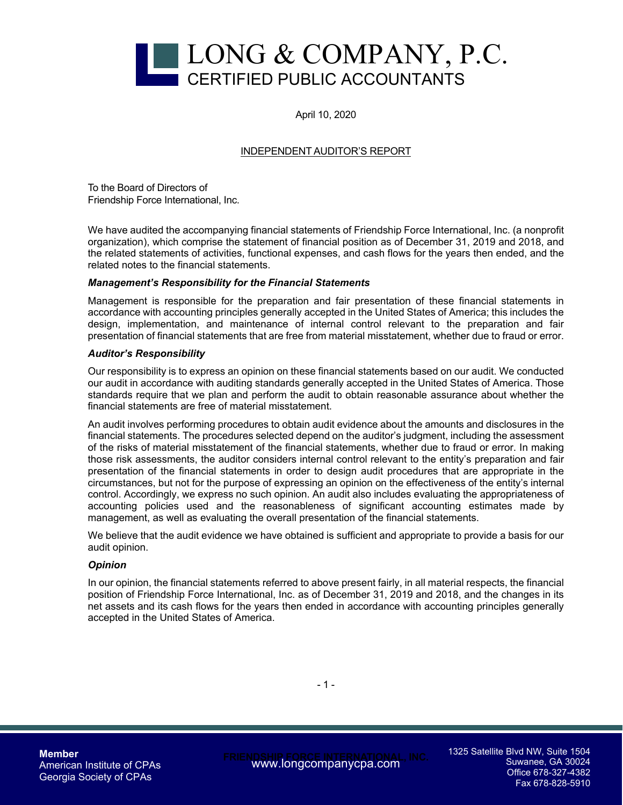

April 10, 2020

## INDEPENDENT AUDITOR'S REPORT

To the Board of Directors of Friendship Force International, Inc.

We have audited the accompanying financial statements of Friendship Force International, Inc. (a nonprofit organization), which comprise the statement of financial position as of December 31, 2019 and 2018, and the related statements of activities, functional expenses, and cash flows for the years then ended, and the related notes to the financial statements.

#### *Management's Responsibility for the Financial Statements*

Management is responsible for the preparation and fair presentation of these financial statements in accordance with accounting principles generally accepted in the United States of America; this includes the design, implementation, and maintenance of internal control relevant to the preparation and fair presentation of financial statements that are free from material misstatement, whether due to fraud or error.

#### *Auditor's Responsibility*

Our responsibility is to express an opinion on these financial statements based on our audit. We conducted our audit in accordance with auditing standards generally accepted in the United States of America. Those standards require that we plan and perform the audit to obtain reasonable assurance about whether the financial statements are free of material misstatement.

An audit involves performing procedures to obtain audit evidence about the amounts and disclosures in the financial statements. The procedures selected depend on the auditor's judgment, including the assessment of the risks of material misstatement of the financial statements, whether due to fraud or error. In making those risk assessments, the auditor considers internal control relevant to the entity's preparation and fair presentation of the financial statements in order to design audit procedures that are appropriate in the circumstances, but not for the purpose of expressing an opinion on the effectiveness of the entity's internal control. Accordingly, we express no such opinion. An audit also includes evaluating the appropriateness of accounting policies used and the reasonableness of significant accounting estimates made by management, as well as evaluating the overall presentation of the financial statements.

We believe that the audit evidence we have obtained is sufficient and appropriate to provide a basis for our audit opinion.

#### *Opinion*

In our opinion, the financial statements referred to above present fairly, in all material respects, the financial position of Friendship Force International, Inc. as of December 31, 2019 and 2018, and the changes in its net assets and its cash flows for the years then ended in accordance with accounting principles generally accepted in the United States of America.

**Member**  American Institute of CPAs Georgia Society of CPAs

**FRIENDSHIP FORCE INTERNATIONAL, INC.**  www.longcompanycpa.com

1325 Satellite Blvd NW, Suite 1504 Suwanee, GA 30024 Office 678-327-4382 Fax 678-828-5910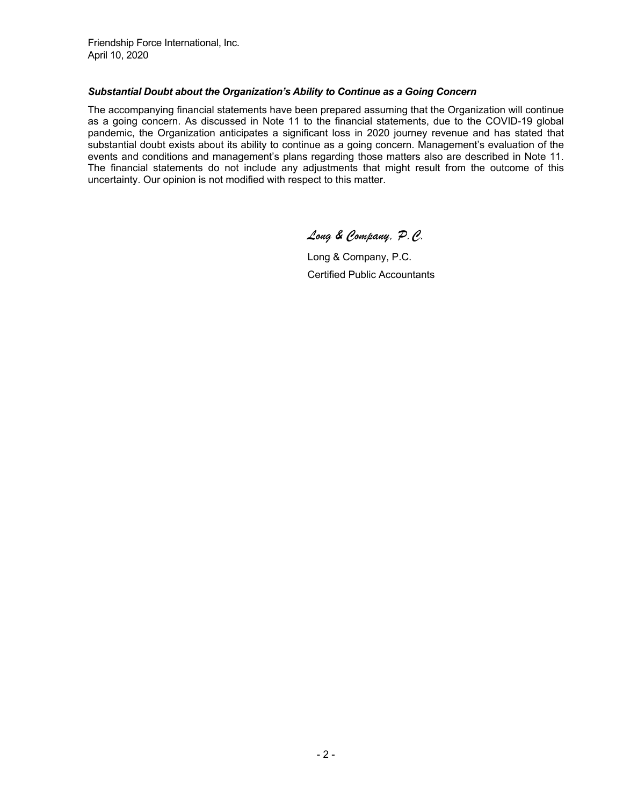Friendship Force International, Inc. April 10, 2020

#### *Substantial Doubt about the Organization's Ability to Continue as a Going Concern*

The accompanying financial statements have been prepared assuming that the Organization will continue as a going concern. As discussed in Note 11 to the financial statements, due to the COVID-19 global pandemic, the Organization anticipates a significant loss in 2020 journey revenue and has stated that substantial doubt exists about its ability to continue as a going concern. Management's evaluation of the events and conditions and management's plans regarding those matters also are described in Note 11. The financial statements do not include any adjustments that might result from the outcome of this uncertainty. Our opinion is not modified with respect to this matter.

*Long & Company, P.C.* 

 Long & Company, P.C. Certified Public Accountants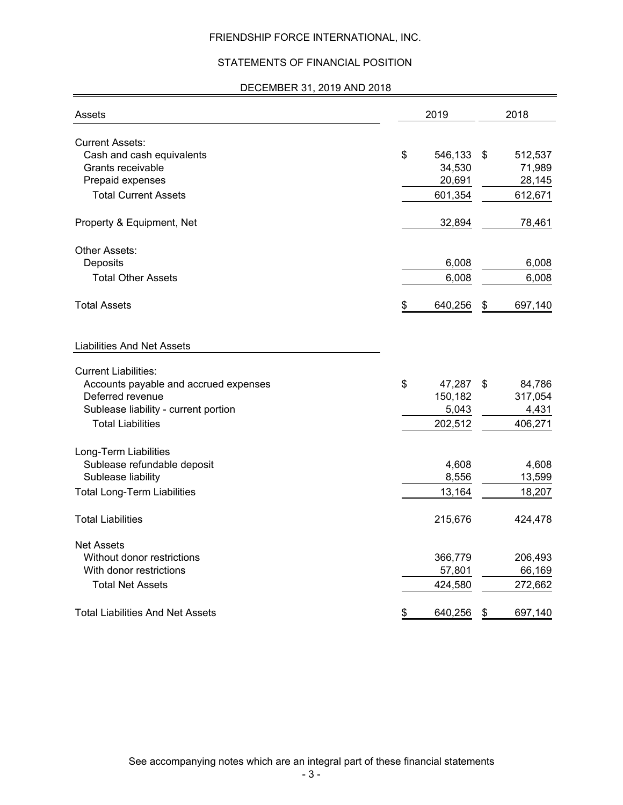## STATEMENTS OF FINANCIAL POSITION

## DECEMBER 31, 2019 AND 2018

| Assets                                | 2019          | 2018          |
|---------------------------------------|---------------|---------------|
| <b>Current Assets:</b>                |               |               |
| Cash and cash equivalents             | \$<br>546,133 | \$<br>512,537 |
| Grants receivable                     | 34,530        | 71,989        |
| Prepaid expenses                      | 20,691        | 28,145        |
| <b>Total Current Assets</b>           | 601,354       | 612,671       |
| Property & Equipment, Net             | 32,894        | 78,461        |
| Other Assets:                         |               |               |
| Deposits                              | 6,008         | 6,008         |
| <b>Total Other Assets</b>             | 6,008         | 6,008         |
| <b>Total Assets</b>                   | \$<br>640,256 | \$<br>697,140 |
| <b>Liabilities And Net Assets</b>     |               |               |
| <b>Current Liabilities:</b>           |               |               |
| Accounts payable and accrued expenses | \$<br>47,287  | \$<br>84,786  |
| Deferred revenue                      | 150,182       | 317,054       |
| Sublease liability - current portion  | 5,043         | 4,431         |
| <b>Total Liabilities</b>              | 202,512       | 406,271       |
| Long-Term Liabilities                 |               |               |
| Sublease refundable deposit           | 4,608         | 4,608         |
| Sublease liability                    | 8,556         | 13,599        |
| <b>Total Long-Term Liabilities</b>    | 13,164        | 18,207        |
| <b>Total Liabilities</b>              | 215,676       | 424,478       |
| <b>Net Assets</b>                     |               |               |
| Without donor restrictions            | 366,779       | 206,493       |
| With donor restrictions               | 57,801        | 66,169        |
| <b>Total Net Assets</b>               | 424,580       | 272,662       |
| Total Liabilities And Net Assets      | \$<br>640,256 | \$<br>697,140 |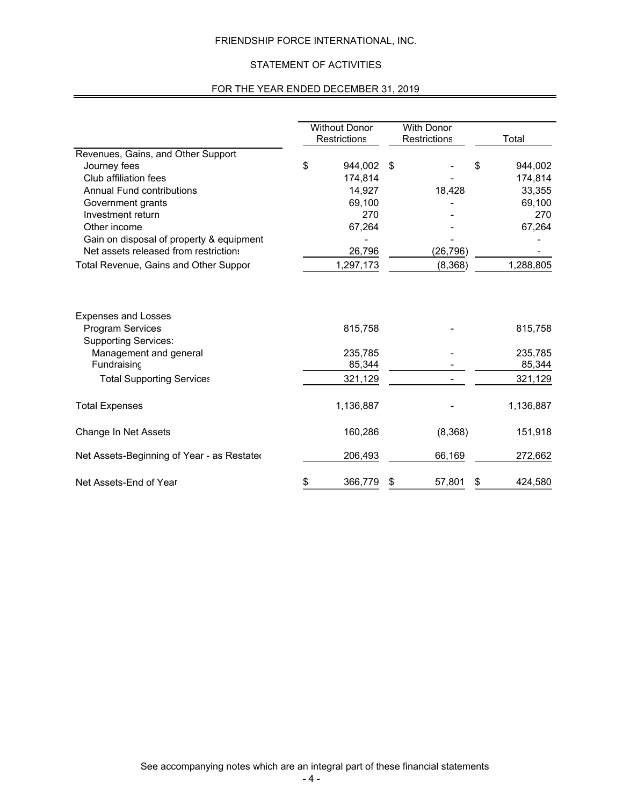## STATEMENT OF ACTIVITIES

### FOR THE YEAR ENDED DECEMBER 31, 2019

|                                                       | <b>Without Donor</b><br>Restrictions | <b>With Donor</b><br>Restrictions | Total         |
|-------------------------------------------------------|--------------------------------------|-----------------------------------|---------------|
| Revenues, Gains, and Other Support                    |                                      |                                   |               |
| Journey fees                                          | \$<br>944,002                        | \$                                | \$<br>944,002 |
| Club affiliation fees                                 | 174,814                              |                                   | 174,814       |
| <b>Annual Fund contributions</b>                      | 14,927                               | 18,428                            | 33,355        |
| Government grants                                     | 69,100                               |                                   | 69,100        |
| Investment return                                     | 270                                  |                                   | 270           |
| Other income                                          | 67,264                               |                                   | 67,264        |
| Gain on disposal of property & equipment              |                                      |                                   |               |
| Net assets released from restrictions                 | 26,796                               | (26, 796)                         |               |
| Total Revenue, Gains and Other Suppor                 | 1,297,173                            | (8,368)                           | 1,288,805     |
| <b>Expenses and Losses</b><br><b>Program Services</b> | 815,758                              |                                   | 815,758       |
| <b>Supporting Services:</b>                           |                                      |                                   |               |
| Management and general                                | 235,785                              |                                   | 235,785       |
| Fundraising                                           | 85,344                               |                                   | 85,344        |
| <b>Total Supporting Services</b>                      | 321,129                              |                                   | 321,129       |
| <b>Total Expenses</b>                                 | 1,136,887                            |                                   | 1,136,887     |
| Change In Net Assets                                  | 160,286                              | (8,368)                           | 151,918       |
| Net Assets-Beginning of Year - as Restated            | 206,493                              | 66,169                            | 272,662       |
| Net Assets-End of Year                                | \$<br>366,779                        | \$<br>57,801                      | \$<br>424,580 |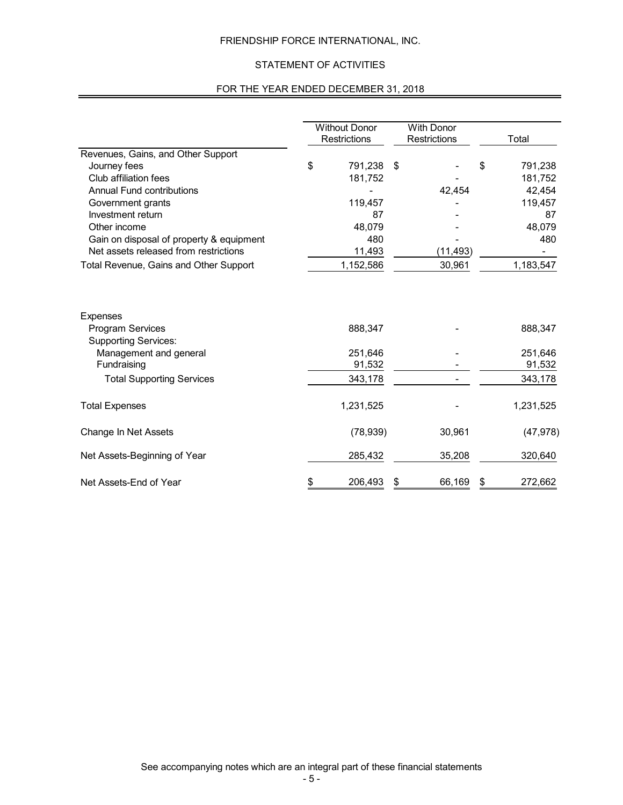## STATEMENT OF ACTIVITIES

## FOR THE YEAR ENDED DECEMBER 31, 2018

|                                                                           | <b>Without Donor</b><br>Restrictions | <b>With Donor</b><br><b>Restrictions</b> | Total         |
|---------------------------------------------------------------------------|--------------------------------------|------------------------------------------|---------------|
| Revenues, Gains, and Other Support                                        |                                      |                                          |               |
| Journey fees                                                              | \$<br>791,238                        | \$                                       | \$<br>791,238 |
| Club affiliation fees                                                     | 181,752                              |                                          | 181,752       |
| <b>Annual Fund contributions</b>                                          |                                      | 42,454                                   | 42,454        |
| Government grants                                                         | 119,457                              |                                          | 119,457       |
| Investment return                                                         | 87                                   |                                          | 87            |
| Other income                                                              | 48,079                               |                                          | 48,079        |
| Gain on disposal of property & equipment                                  | 480                                  |                                          | 480           |
| Net assets released from restrictions                                     | 11,493                               | (11, 493)                                |               |
| Total Revenue, Gains and Other Support                                    | 1,152,586                            | 30,961                                   | 1,183,547     |
| <b>Expenses</b><br><b>Program Services</b><br><b>Supporting Services:</b> | 888,347                              |                                          | 888,347       |
| Management and general                                                    | 251.646                              |                                          | 251,646       |
| Fundraising                                                               | 91,532                               |                                          | 91,532        |
| <b>Total Supporting Services</b>                                          | 343,178                              |                                          | 343,178       |
| <b>Total Expenses</b>                                                     | 1,231,525                            |                                          | 1,231,525     |
| Change In Net Assets                                                      | (78, 939)                            | 30,961                                   | (47, 978)     |
| Net Assets-Beginning of Year                                              | 285,432                              | 35,208                                   | 320,640       |
| Net Assets-End of Year                                                    | \$<br>206,493                        | \$<br>66,169                             | 272,662       |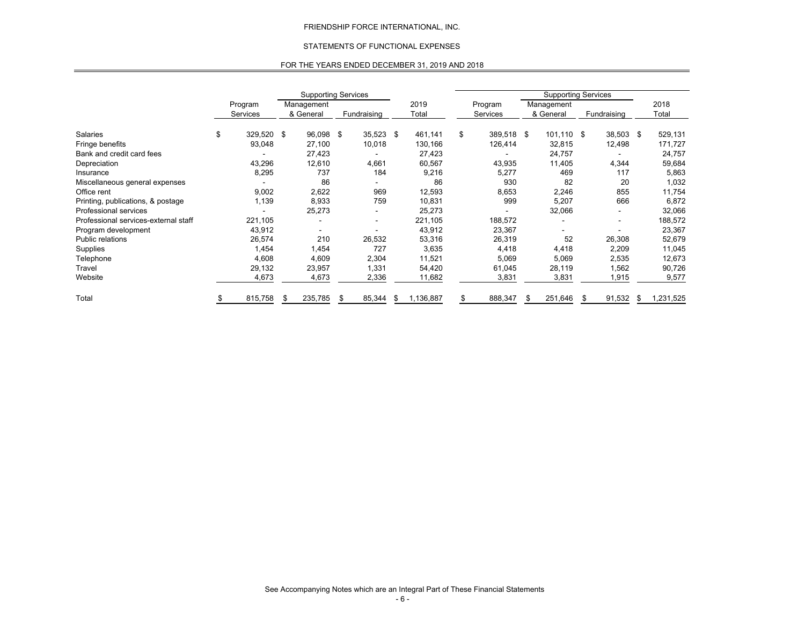#### STATEMENTS OF FUNCTIONAL EXPENSES

#### FOR THE YEARS ENDED DECEMBER 31, 2019 AND 2018

|                                      |               |            | <b>Supporting Services</b> |     |             |     |           |    |            |    | <b>Supporting Services</b> |      |                          |                 |
|--------------------------------------|---------------|------------|----------------------------|-----|-------------|-----|-----------|----|------------|----|----------------------------|------|--------------------------|-----------------|
|                                      | Program       | Management |                            |     | 2019        |     | Program   |    | Management |    |                            | 2018 |                          |                 |
|                                      | Services      |            | & General                  |     | Fundraising |     | Total     |    | Services   |    | & General                  |      | Fundraising              | Total           |
| Salaries                             | \$<br>329,520 | -\$        | 96,098                     | -\$ | 35,523      | -\$ | 461,141   | \$ | 389,518 \$ |    | $101,110$ \$               |      | 38,503 \$                | 529,131         |
| Fringe benefits                      | 93,048        |            | 27,100                     |     | 10,018      |     | 130,166   |    | 126,414    |    | 32,815                     |      | 12,498                   | 171,727         |
| Bank and credit card fees            |               |            | 27,423                     |     |             |     | 27,423    |    |            |    | 24,757                     |      |                          | 24,757          |
| Depreciation                         | 43,296        |            | 12,610                     |     | 4,661       |     | 60,567    |    | 43,935     |    | 11,405                     |      | 4,344                    | 59,684          |
| Insurance                            | 8,295         |            | 737                        |     | 184         |     | 9,216     |    | 5,277      |    | 469                        |      | 117                      | 5,863           |
| Miscellaneous general expenses       |               |            | 86                         |     |             |     | 86        |    | 930        |    | 82                         |      | 20                       | 1,032           |
| Office rent                          | 9,002         |            | 2,622                      |     | 969         |     | 12,593    |    | 8,653      |    | 2,246                      |      | 855                      | 11,754          |
| Printing, publications, & postage    | 1,139         |            | 8,933                      |     | 759         |     | 10,831    |    | 999        |    | 5,207                      |      | 666                      | 6,872           |
| Professional services                |               |            | 25,273                     |     |             |     | 25,273    |    |            |    | 32,066                     |      | $\blacksquare$           | 32,066          |
| Professional services-external staff | 221,105       |            |                            |     |             |     | 221,105   |    | 188,572    |    |                            |      | $\overline{\phantom{a}}$ | 188,572         |
| Program development                  | 43,912        |            |                            |     |             |     | 43,912    |    | 23,367     |    |                            |      |                          | 23,367          |
| Public relations                     | 26,574        |            | 210                        |     | 26,532      |     | 53,316    |    | 26,319     |    | 52                         |      | 26,308                   | 52,679          |
| Supplies                             | 1,454         |            | 1,454                      |     | 727         |     | 3,635     |    | 4,418      |    | 4,418                      |      | 2,209                    | 11,045          |
| Telephone                            | 4,608         |            | 4,609                      |     | 2,304       |     | 11,521    |    | 5,069      |    | 5,069                      |      | 2,535                    | 12,673          |
| Travel                               | 29,132        |            | 23,957                     |     | 1,331       |     | 54,420    |    | 61,045     |    | 28,119                     |      | 1,562                    | 90,726          |
| Website                              | 4,673         |            | 4,673                      |     | 2,336       |     | 11,682    |    | 3,831      |    | 3,831                      |      | 1,915                    | 9,577           |
| Total                                | 815,758       |            | 235,785                    | \$  | 85,344      | S   | 1,136,887 |    | 888,347    | \$ | 251,646                    | S    | 91,532                   | \$<br>1,231,525 |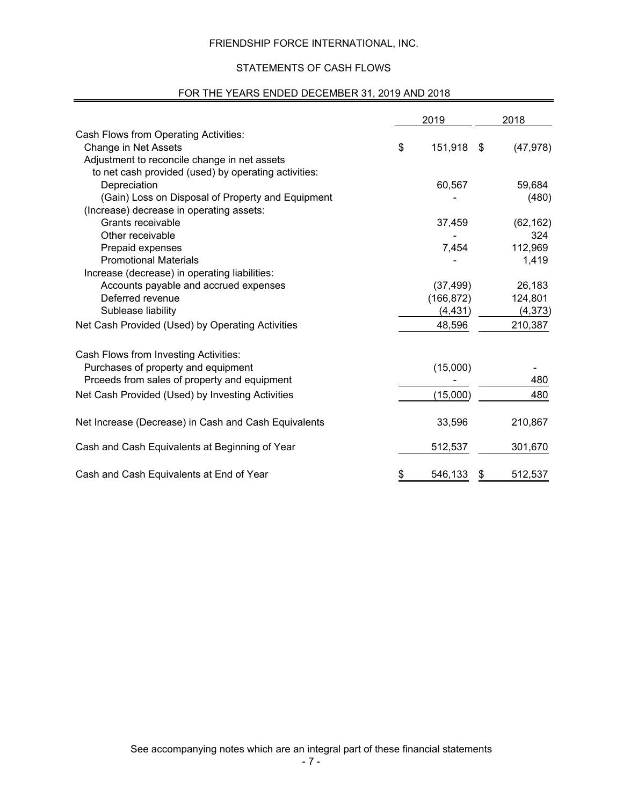## STATEMENTS OF CASH FLOWS

# FOR THE YEARS ENDED DECEMBER 31, 2019 AND 2018

|                                                      | 2019          | 2018            |
|------------------------------------------------------|---------------|-----------------|
| Cash Flows from Operating Activities:                |               |                 |
| Change in Net Assets                                 | \$<br>151,918 | \$<br>(47, 978) |
| Adjustment to reconcile change in net assets         |               |                 |
| to net cash provided (used) by operating activities: |               |                 |
| Depreciation                                         | 60,567        | 59,684          |
| (Gain) Loss on Disposal of Property and Equipment    |               | (480)           |
| (Increase) decrease in operating assets:             |               |                 |
| Grants receivable                                    | 37,459        | (62, 162)       |
| Other receivable                                     |               | 324             |
| Prepaid expenses                                     | 7,454         | 112,969         |
| <b>Promotional Materials</b>                         |               | 1,419           |
| Increase (decrease) in operating liabilities:        |               |                 |
| Accounts payable and accrued expenses                | (37, 499)     | 26,183          |
| Deferred revenue                                     | (166, 872)    | 124,801         |
| Sublease liability                                   | (4, 431)      | (4, 373)        |
| Net Cash Provided (Used) by Operating Activities     | 48,596        | 210,387         |
| Cash Flows from Investing Activities:                |               |                 |
| Purchases of property and equipment                  | (15,000)      |                 |
| Prceeds from sales of property and equipment         |               | 480             |
| Net Cash Provided (Used) by Investing Activities     | (15,000)      | 480             |
|                                                      |               |                 |
| Net Increase (Decrease) in Cash and Cash Equivalents | 33,596        | 210,867         |
| Cash and Cash Equivalents at Beginning of Year       | 512,537       | 301,670         |
| Cash and Cash Equivalents at End of Year             | \$<br>546,133 | \$<br>512,537   |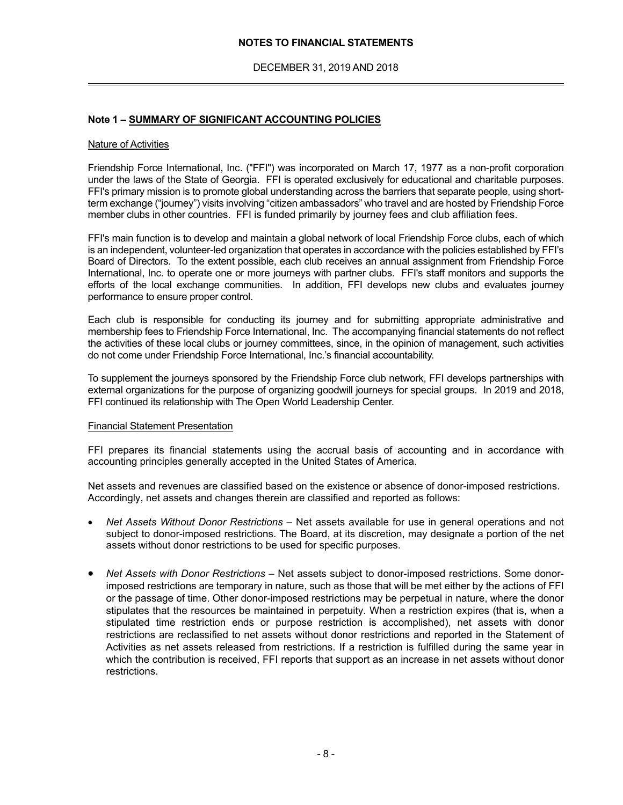#### **NOTES TO FINANCIAL STATEMENTS**

DECEMBER 31, 2019 AND 2018

#### **Note 1 – SUMMARY OF SIGNIFICANT ACCOUNTING POLICIES**

#### Nature of Activities

 $\overline{a}$ 

Friendship Force International, Inc. ("FFI") was incorporated on March 17, 1977 as a non-profit corporation under the laws of the State of Georgia. FFI is operated exclusively for educational and charitable purposes. FFI's primary mission is to promote global understanding across the barriers that separate people, using shortterm exchange ("journey") visits involving "citizen ambassadors" who travel and are hosted by Friendship Force member clubs in other countries. FFI is funded primarily by journey fees and club affiliation fees.

FFI's main function is to develop and maintain a global network of local Friendship Force clubs, each of which is an independent, volunteer-led organization that operates in accordance with the policies established by FFI's Board of Directors. To the extent possible, each club receives an annual assignment from Friendship Force International, Inc. to operate one or more journeys with partner clubs. FFI's staff monitors and supports the efforts of the local exchange communities. In addition, FFI develops new clubs and evaluates journey performance to ensure proper control.

Each club is responsible for conducting its journey and for submitting appropriate administrative and membership fees to Friendship Force International, Inc. The accompanying financial statements do not reflect the activities of these local clubs or journey committees, since, in the opinion of management, such activities do not come under Friendship Force International, Inc.'s financial accountability.

To supplement the journeys sponsored by the Friendship Force club network, FFI develops partnerships with external organizations for the purpose of organizing goodwill journeys for special groups. In 2019 and 2018, FFI continued its relationship with The Open World Leadership Center.

#### Financial Statement Presentation

FFI prepares its financial statements using the accrual basis of accounting and in accordance with accounting principles generally accepted in the United States of America.

Net assets and revenues are classified based on the existence or absence of donor-imposed restrictions. Accordingly, net assets and changes therein are classified and reported as follows:

- *Net Assets Without Donor Restrictions*  Net assets available for use in general operations and not subject to donor-imposed restrictions. The Board, at its discretion, may designate a portion of the net assets without donor restrictions to be used for specific purposes.
- *Net Assets with Donor Restrictions*  Net assets subject to donor-imposed restrictions. Some donorimposed restrictions are temporary in nature, such as those that will be met either by the actions of FFI or the passage of time. Other donor-imposed restrictions may be perpetual in nature, where the donor stipulates that the resources be maintained in perpetuity. When a restriction expires (that is, when a stipulated time restriction ends or purpose restriction is accomplished), net assets with donor restrictions are reclassified to net assets without donor restrictions and reported in the Statement of Activities as net assets released from restrictions. If a restriction is fulfilled during the same year in which the contribution is received, FFI reports that support as an increase in net assets without donor restrictions.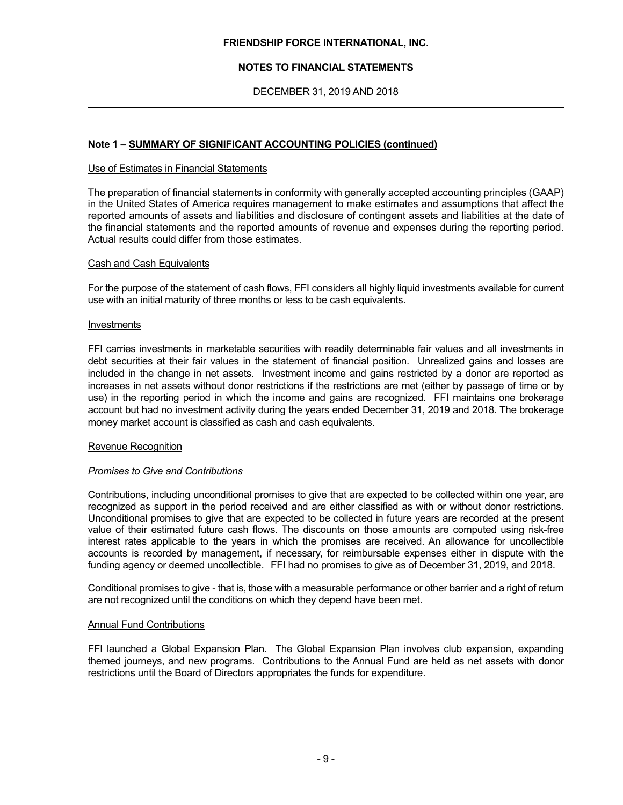### **NOTES TO FINANCIAL STATEMENTS**

DECEMBER 31, 2019 AND 2018

#### **Note 1 – SUMMARY OF SIGNIFICANT ACCOUNTING POLICIES (continued)**

#### Use of Estimates in Financial Statements

The preparation of financial statements in conformity with generally accepted accounting principles (GAAP) in the United States of America requires management to make estimates and assumptions that affect the reported amounts of assets and liabilities and disclosure of contingent assets and liabilities at the date of the financial statements and the reported amounts of revenue and expenses during the reporting period. Actual results could differ from those estimates.

#### Cash and Cash Equivalents

For the purpose of the statement of cash flows, FFI considers all highly liquid investments available for current use with an initial maturity of three months or less to be cash equivalents.

#### Investments

 $\overline{a}$ 

FFI carries investments in marketable securities with readily determinable fair values and all investments in debt securities at their fair values in the statement of financial position. Unrealized gains and losses are included in the change in net assets. Investment income and gains restricted by a donor are reported as increases in net assets without donor restrictions if the restrictions are met (either by passage of time or by use) in the reporting period in which the income and gains are recognized. FFI maintains one brokerage account but had no investment activity during the years ended December 31, 2019 and 2018. The brokerage money market account is classified as cash and cash equivalents.

#### Revenue Recognition

#### *Promises to Give and Contributions*

Contributions, including unconditional promises to give that are expected to be collected within one year, are recognized as support in the period received and are either classified as with or without donor restrictions. Unconditional promises to give that are expected to be collected in future years are recorded at the present value of their estimated future cash flows. The discounts on those amounts are computed using risk-free interest rates applicable to the years in which the promises are received. An allowance for uncollectible accounts is recorded by management, if necessary, for reimbursable expenses either in dispute with the funding agency or deemed uncollectible. FFI had no promises to give as of December 31, 2019, and 2018.

Conditional promises to give - that is, those with a measurable performance or other barrier and a right of return are not recognized until the conditions on which they depend have been met.

#### Annual Fund Contributions

FFI launched a Global Expansion Plan. The Global Expansion Plan involves club expansion, expanding themed journeys, and new programs. Contributions to the Annual Fund are held as net assets with donor restrictions until the Board of Directors appropriates the funds for expenditure.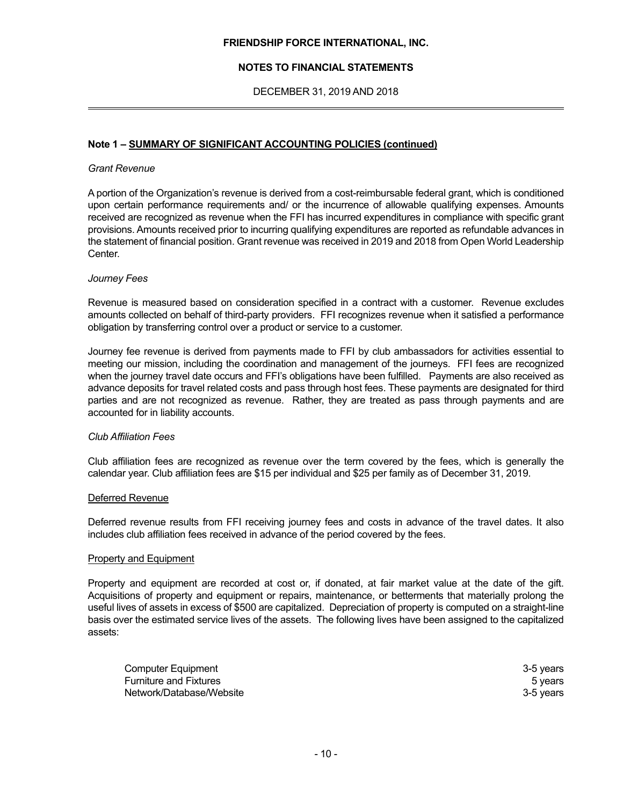### **NOTES TO FINANCIAL STATEMENTS**

DECEMBER 31, 2019 AND 2018

#### **Note 1 – SUMMARY OF SIGNIFICANT ACCOUNTING POLICIES (continued)**

#### *Grant Revenue*

 $\overline{a}$ 

A portion of the Organization's revenue is derived from a cost-reimbursable federal grant, which is conditioned upon certain performance requirements and/ or the incurrence of allowable qualifying expenses. Amounts received are recognized as revenue when the FFI has incurred expenditures in compliance with specific grant provisions. Amounts received prior to incurring qualifying expenditures are reported as refundable advances in the statement of financial position. Grant revenue was received in 2019 and 2018 from Open World Leadership Center.

#### *Journey Fees*

Revenue is measured based on consideration specified in a contract with a customer. Revenue excludes amounts collected on behalf of third-party providers. FFI recognizes revenue when it satisfied a performance obligation by transferring control over a product or service to a customer.

Journey fee revenue is derived from payments made to FFI by club ambassadors for activities essential to meeting our mission, including the coordination and management of the journeys. FFI fees are recognized when the journey travel date occurs and FFI's obligations have been fulfilled. Payments are also received as advance deposits for travel related costs and pass through host fees. These payments are designated for third parties and are not recognized as revenue. Rather, they are treated as pass through payments and are accounted for in liability accounts.

#### *Club Affiliation Fees*

Club affiliation fees are recognized as revenue over the term covered by the fees, which is generally the calendar year. Club affiliation fees are \$15 per individual and \$25 per family as of December 31, 2019.

#### Deferred Revenue

Deferred revenue results from FFI receiving journey fees and costs in advance of the travel dates. It also includes club affiliation fees received in advance of the period covered by the fees.

#### Property and Equipment

Property and equipment are recorded at cost or, if donated, at fair market value at the date of the gift. Acquisitions of property and equipment or repairs, maintenance, or betterments that materially prolong the useful lives of assets in excess of \$500 are capitalized. Depreciation of property is computed on a straight-line basis over the estimated service lives of the assets. The following lives have been assigned to the capitalized assets:

| <b>Computer Equipment</b>     | 3-5 vears |
|-------------------------------|-----------|
| <b>Furniture and Fixtures</b> | 5 years   |
| Network/Database/Website      | 3-5 vears |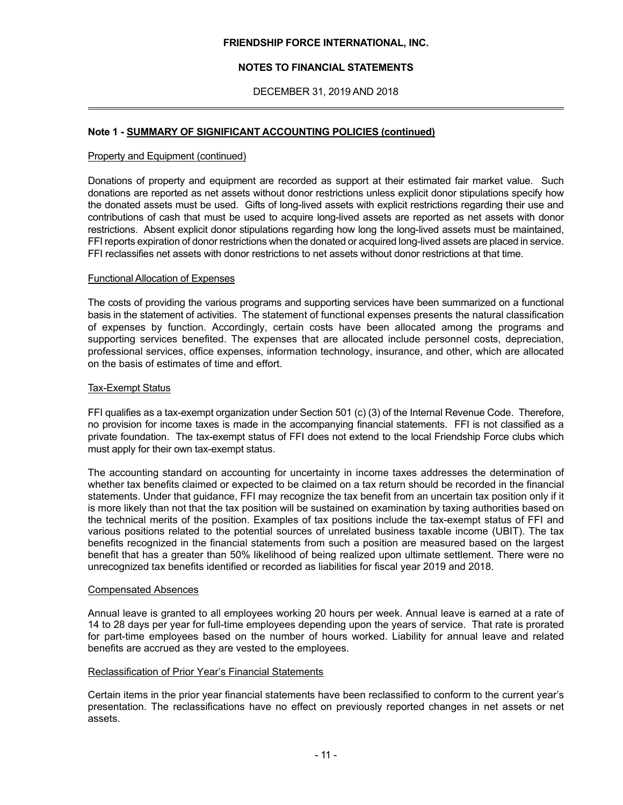### **NOTES TO FINANCIAL STATEMENTS**

DECEMBER 31, 2019 AND 2018

#### **Note 1 - SUMMARY OF SIGNIFICANT ACCOUNTING POLICIES (continued)**

#### Property and Equipment (continued)

 $\overline{a}$ 

Donations of property and equipment are recorded as support at their estimated fair market value. Such donations are reported as net assets without donor restrictions unless explicit donor stipulations specify how the donated assets must be used. Gifts of long-lived assets with explicit restrictions regarding their use and contributions of cash that must be used to acquire long-lived assets are reported as net assets with donor restrictions. Absent explicit donor stipulations regarding how long the long-lived assets must be maintained, FFI reports expiration of donor restrictions when the donated or acquired long-lived assets are placed in service. FFI reclassifies net assets with donor restrictions to net assets without donor restrictions at that time.

#### Functional Allocation of Expenses

The costs of providing the various programs and supporting services have been summarized on a functional basis in the statement of activities. The statement of functional expenses presents the natural classification of expenses by function. Accordingly, certain costs have been allocated among the programs and supporting services benefited. The expenses that are allocated include personnel costs, depreciation, professional services, office expenses, information technology, insurance, and other, which are allocated on the basis of estimates of time and effort.

#### Tax-Exempt Status

FFI qualifies as a tax-exempt organization under Section 501 (c) (3) of the Internal Revenue Code. Therefore, no provision for income taxes is made in the accompanying financial statements. FFI is not classified as a private foundation. The tax-exempt status of FFI does not extend to the local Friendship Force clubs which must apply for their own tax-exempt status.

The accounting standard on accounting for uncertainty in income taxes addresses the determination of whether tax benefits claimed or expected to be claimed on a tax return should be recorded in the financial statements. Under that guidance, FFI may recognize the tax benefit from an uncertain tax position only if it is more likely than not that the tax position will be sustained on examination by taxing authorities based on the technical merits of the position. Examples of tax positions include the tax-exempt status of FFI and various positions related to the potential sources of unrelated business taxable income (UBIT). The tax benefits recognized in the financial statements from such a position are measured based on the largest benefit that has a greater than 50% likelihood of being realized upon ultimate settlement. There were no unrecognized tax benefits identified or recorded as liabilities for fiscal year 2019 and 2018.

#### Compensated Absences

Annual leave is granted to all employees working 20 hours per week. Annual leave is earned at a rate of 14 to 28 days per year for full-time employees depending upon the years of service. That rate is prorated for part-time employees based on the number of hours worked. Liability for annual leave and related benefits are accrued as they are vested to the employees.

#### Reclassification of Prior Year's Financial Statements

Certain items in the prior year financial statements have been reclassified to conform to the current year's presentation. The reclassifications have no effect on previously reported changes in net assets or net assets.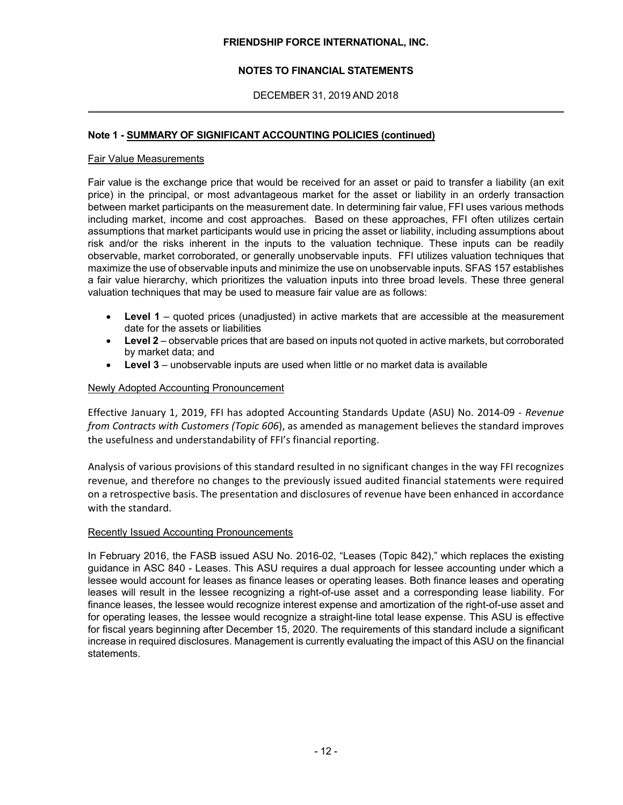## **NOTES TO FINANCIAL STATEMENTS**

## DECEMBER 31, 2019 AND 2018

#### **Note 1 - SUMMARY OF SIGNIFICANT ACCOUNTING POLICIES (continued)**

#### Fair Value Measurements

 $\overline{a}$ 

Fair value is the exchange price that would be received for an asset or paid to transfer a liability (an exit price) in the principal, or most advantageous market for the asset or liability in an orderly transaction between market participants on the measurement date. In determining fair value, FFI uses various methods including market, income and cost approaches. Based on these approaches, FFI often utilizes certain assumptions that market participants would use in pricing the asset or liability, including assumptions about risk and/or the risks inherent in the inputs to the valuation technique. These inputs can be readily observable, market corroborated, or generally unobservable inputs. FFI utilizes valuation techniques that maximize the use of observable inputs and minimize the use on unobservable inputs. SFAS 157 establishes a fair value hierarchy, which prioritizes the valuation inputs into three broad levels. These three general valuation techniques that may be used to measure fair value are as follows:

- **Level 1**  quoted prices (unadjusted) in active markets that are accessible at the measurement date for the assets or liabilities
- **Level 2**  observable prices that are based on inputs not quoted in active markets, but corroborated by market data; and
- **Level 3** unobservable inputs are used when little or no market data is available

#### Newly Adopted Accounting Pronouncement

Effective January 1, 2019, FFI has adopted Accounting Standards Update (ASU) No. 2014‐09 ‐ *Revenue from Contracts with Customers (Topic 606*), as amended as management believes the standard improves the usefulness and understandability of FFI's financial reporting.

Analysis of various provisions of this standard resulted in no significant changes in the way FFI recognizes revenue, and therefore no changes to the previously issued audited financial statements were required on a retrospective basis. The presentation and disclosures of revenue have been enhanced in accordance with the standard.

#### Recently Issued Accounting Pronouncements

In February 2016, the FASB issued ASU No. 2016-02, "Leases (Topic 842)," which replaces the existing guidance in ASC 840 - Leases. This ASU requires a dual approach for lessee accounting under which a lessee would account for leases as finance leases or operating leases. Both finance leases and operating leases will result in the lessee recognizing a right-of-use asset and a corresponding lease liability. For finance leases, the lessee would recognize interest expense and amortization of the right-of-use asset and for operating leases, the lessee would recognize a straight-line total lease expense. This ASU is effective for fiscal years beginning after December 15, 2020. The requirements of this standard include a significant increase in required disclosures. Management is currently evaluating the impact of this ASU on the financial statements.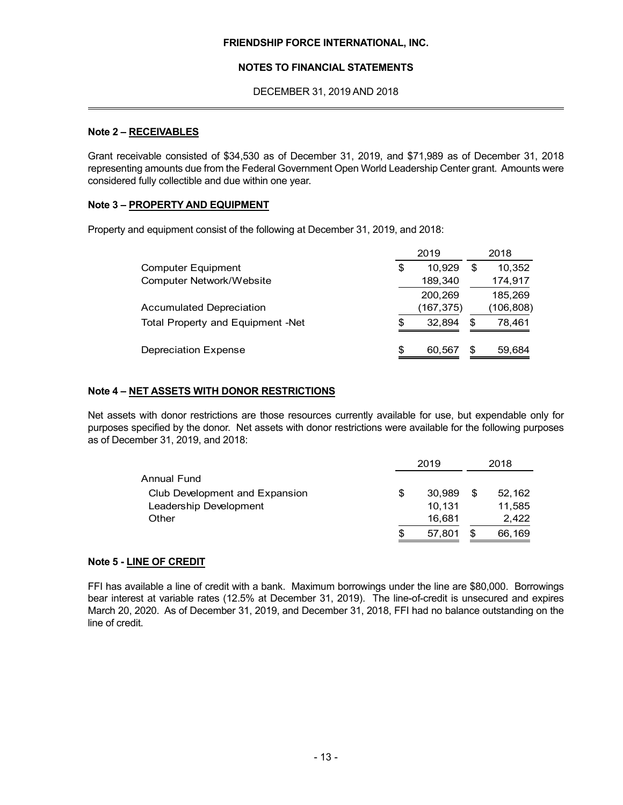#### **NOTES TO FINANCIAL STATEMENTS**

DECEMBER 31, 2019 AND 2018

#### **Note 2 – RECEIVABLES**

 $\overline{a}$ 

Grant receivable consisted of \$34,530 as of December 31, 2019, and \$71,989 as of December 31, 2018 representing amounts due from the Federal Government Open World Leadership Center grant. Amounts were considered fully collectible and due within one year.

#### **Note 3 – PROPERTY AND EQUIPMENT**

Property and equipment consist of the following at December 31, 2019, and 2018:

|                                   |     | 2019       |    | 2018      |
|-----------------------------------|-----|------------|----|-----------|
| <b>Computer Equipment</b>         | S   | 10.929     | \$ | 10,352    |
| <b>Computer Network/Website</b>   |     | 189,340    |    | 174,917   |
|                                   |     | 200,269    |    | 185.269   |
| <b>Accumulated Depreciation</b>   |     | (167, 375) |    | (106,808) |
| Total Property and Equipment -Net | \$. | 32.894     | S  | 78,461    |
| Depreciation Expense              | \$  | 60,567     | S  | 59,684    |

## **Note 4 – NET ASSETS WITH DONOR RESTRICTIONS**

Net assets with donor restrictions are those resources currently available for use, but expendable only for purposes specified by the donor. Net assets with donor restrictions were available for the following purposes as of December 31, 2019, and 2018:

|                                |   | 2019   |   | 2018   |
|--------------------------------|---|--------|---|--------|
| Annual Fund                    |   |        |   |        |
| Club Development and Expansion | S | 30.989 | S | 52,162 |
| Leadership Development         |   | 10.131 |   | 11,585 |
| Other                          |   | 16.681 |   | 2,422  |
|                                | S | 57.801 |   | 66,169 |

## **Note 5 - LINE OF CREDIT**

FFI has available a line of credit with a bank. Maximum borrowings under the line are \$80,000. Borrowings bear interest at variable rates (12.5% at December 31, 2019). The line-of-credit is unsecured and expires March 20, 2020. As of December 31, 2019, and December 31, 2018, FFI had no balance outstanding on the line of credit.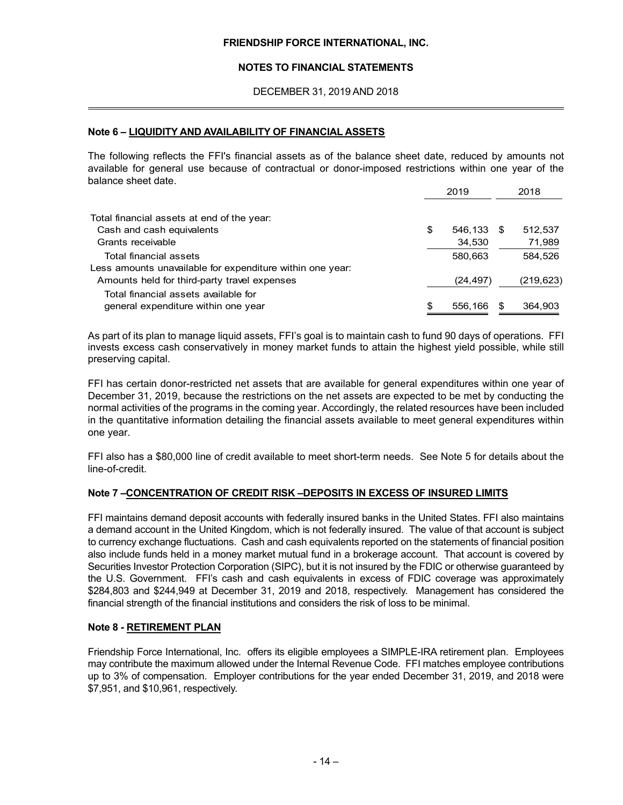#### **NOTES TO FINANCIAL STATEMENTS**

DECEMBER 31, 2019 AND 2018

#### **Note 6 – LIQUIDITY AND AVAILABILITY OF FINANCIAL ASSETS**

 $\overline{a}$ 

The following reflects the FFI's financial assets as of the balance sheet date, reduced by amounts not available for general use because of contractual or donor-imposed restrictions within one year of the balance sheet date.

| 2019      | 2018       |
|-----------|------------|
|           |            |
| \$        | 512,537    |
| 34,530    | 71,989     |
| 580,663   | 584.526    |
|           |            |
| (24, 497) | (219, 623) |
| 556.166   | 364,903    |
|           | 546,133    |

As part of its plan to manage liquid assets, FFI's goal is to maintain cash to fund 90 days of operations. FFI invests excess cash conservatively in money market funds to attain the highest yield possible, while still preserving capital.

FFI has certain donor-restricted net assets that are available for general expenditures within one year of December 31, 2019, because the restrictions on the net assets are expected to be met by conducting the normal activities of the programs in the coming year. Accordingly, the related resources have been included in the quantitative information detailing the financial assets available to meet general expenditures within one year.

FFI also has a \$80,000 line of credit available to meet short-term needs. See Note 5 for details about the line-of-credit.

#### **Note 7 –CONCENTRATION OF CREDIT RISK –DEPOSITS IN EXCESS OF INSURED LIMITS**

FFI maintains demand deposit accounts with federally insured banks in the United States. FFI also maintains a demand account in the United Kingdom, which is not federally insured. The value of that account is subject to currency exchange fluctuations. Cash and cash equivalents reported on the statements of financial position also include funds held in a money market mutual fund in a brokerage account. That account is covered by Securities Investor Protection Corporation (SIPC), but it is not insured by the FDIC or otherwise guaranteed by the U.S. Government. FFI's cash and cash equivalents in excess of FDIC coverage was approximately \$284,803 and \$244,949 at December 31, 2019 and 2018, respectively. Management has considered the financial strength of the financial institutions and considers the risk of loss to be minimal.

#### **Note 8 - RETIREMENT PLAN**

Friendship Force International, Inc. offers its eligible employees a SIMPLE-IRA retirement plan. Employees may contribute the maximum allowed under the Internal Revenue Code. FFI matches employee contributions up to 3% of compensation. Employer contributions for the year ended December 31, 2019, and 2018 were \$7,951, and \$10,961, respectively.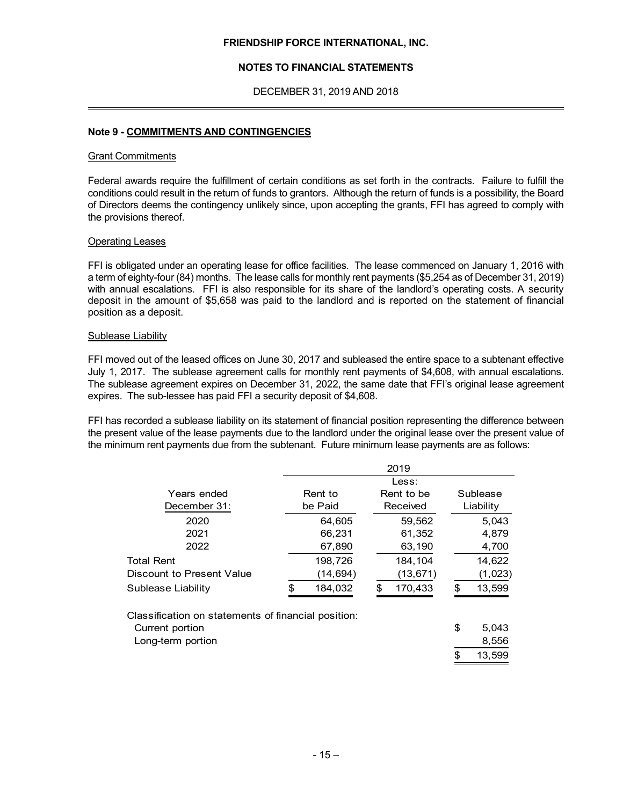#### **NOTES TO FINANCIAL STATEMENTS**

DECEMBER 31, 2019 AND 2018

#### **Note 9 - COMMITMENTS AND CONTINGENCIES**

#### Grant Commitments

 $\overline{a}$ 

Federal awards require the fulfillment of certain conditions as set forth in the contracts. Failure to fulfill the conditions could result in the return of funds to grantors. Although the return of funds is a possibility, the Board of Directors deems the contingency unlikely since, upon accepting the grants, FFI has agreed to comply with the provisions thereof.

#### Operating Leases

FFI is obligated under an operating lease for office facilities. The lease commenced on January 1, 2016 with a term of eighty-four (84) months. The lease calls for monthly rent payments (\$5,254 as of December 31, 2019) with annual escalations. FFI is also responsible for its share of the landlord's operating costs. A security deposit in the amount of \$5,658 was paid to the landlord and is reported on the statement of financial position as a deposit.

#### Sublease Liability

FFI moved out of the leased offices on June 30, 2017 and subleased the entire space to a subtenant effective July 1, 2017. The sublease agreement calls for monthly rent payments of \$4,608, with annual escalations. The sublease agreement expires on December 31, 2022, the same date that FFI's original lease agreement expires. The sub-lessee has paid FFI a security deposit of \$4,608.

FFI has recorded a sublease liability on its statement of financial position representing the difference between the present value of the lease payments due to the landlord under the original lease over the present value of the minimum rent payments due from the subtenant. Future minimum lease payments are as follows:

|                                                     | 2019 |          |    |            |              |
|-----------------------------------------------------|------|----------|----|------------|--------------|
|                                                     |      |          |    |            |              |
| Years ended                                         |      | Rent to  |    | Rent to be | Sublease     |
| December 31:                                        |      | be Paid  |    | Received   | Liability    |
| 2020                                                |      | 64,605   |    | 59,562     | 5,043        |
| 2021                                                |      | 66,231   |    | 61,352     | 4,879        |
| 2022                                                |      | 67,890   |    | 63,190     | 4,700        |
| <b>Total Rent</b>                                   |      | 198,726  |    | 184,104    | 14,622       |
| Discount to Present Value                           |      | (14,694) |    | (13, 671)  | (1,023)      |
| Sublease Liability                                  | \$.  | 184,032  | .ፍ | 170,433    | \$<br>13,599 |
| Classification on statements of financial position: |      |          |    |            |              |
| Current portion                                     |      |          |    |            | \$<br>5,043  |
| Long-term portion                                   |      |          |    |            | 8,556        |
|                                                     |      |          |    |            | \$<br>13,599 |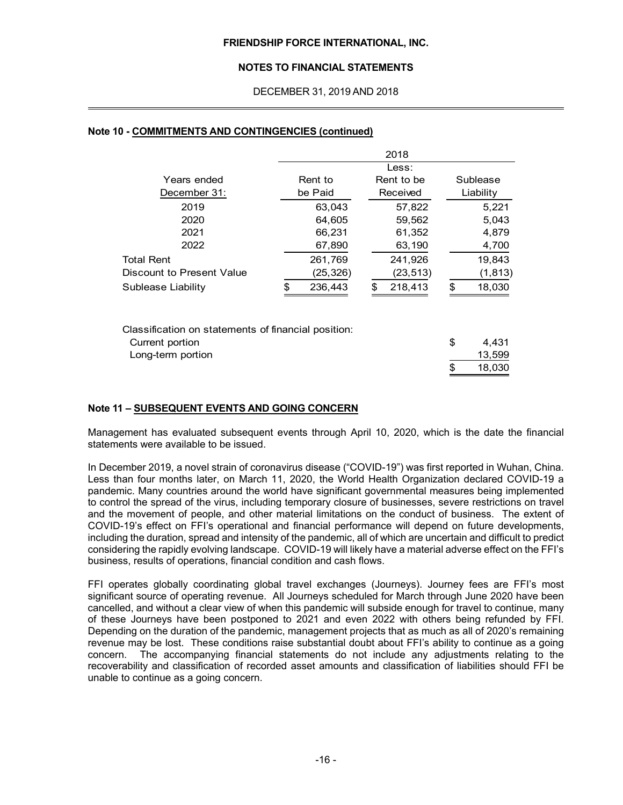#### **NOTES TO FINANCIAL STATEMENTS**

DECEMBER 31, 2019 AND 2018

|                                                                                             |               | 2018          |          |                           |
|---------------------------------------------------------------------------------------------|---------------|---------------|----------|---------------------------|
|                                                                                             |               | Less:         |          |                           |
| Years ended                                                                                 | Rent to       | Rent to be    |          | Sublease                  |
| December 31:                                                                                | be Paid       | Received      |          | Liability                 |
| 2019                                                                                        | 63,043        | 57,822        |          | 5,221                     |
| 2020                                                                                        | 64,605        | 59,562        |          | 5,043                     |
| 2021                                                                                        | 66,231        | 61,352        |          | 4,879                     |
| 2022                                                                                        | 67,890        | 63,190        |          | 4,700                     |
| <b>Total Rent</b>                                                                           | 261,769       | 241,926       |          | 19,843                    |
| Discount to Present Value                                                                   | (25,326)      | (23,513)      |          | (1, 813)                  |
| Sublease Liability                                                                          | \$<br>236,443 | \$<br>218,413 | \$       | 18,030                    |
| Classification on statements of financial position:<br>Current portion<br>Long-term portion |               |               | \$<br>\$ | 4,431<br>13,599<br>18,030 |

#### **Note 10 - COMMITMENTS AND CONTINGENCIES (continued)**

 $\overline{a}$ 

#### **Note 11 – SUBSEQUENT EVENTS AND GOING CONCERN**

Management has evaluated subsequent events through April 10, 2020, which is the date the financial statements were available to be issued.

In December 2019, a novel strain of coronavirus disease ("COVID-19") was first reported in Wuhan, China. Less than four months later, on March 11, 2020, the World Health Organization declared COVID-19 a pandemic. Many countries around the world have significant governmental measures being implemented to control the spread of the virus, including temporary closure of businesses, severe restrictions on travel and the movement of people, and other material limitations on the conduct of business. The extent of COVID-19's effect on FFI's operational and financial performance will depend on future developments, including the duration, spread and intensity of the pandemic, all of which are uncertain and difficult to predict considering the rapidly evolving landscape. COVID-19 will likely have a material adverse effect on the FFI's business, results of operations, financial condition and cash flows.

FFI operates globally coordinating global travel exchanges (Journeys). Journey fees are FFI's most significant source of operating revenue. All Journeys scheduled for March through June 2020 have been cancelled, and without a clear view of when this pandemic will subside enough for travel to continue, many of these Journeys have been postponed to 2021 and even 2022 with others being refunded by FFI. Depending on the duration of the pandemic, management projects that as much as all of 2020's remaining revenue may be lost. These conditions raise substantial doubt about FFI's ability to continue as a going concern. The accompanying financial statements do not include any adjustments relating to the recoverability and classification of recorded asset amounts and classification of liabilities should FFI be unable to continue as a going concern.